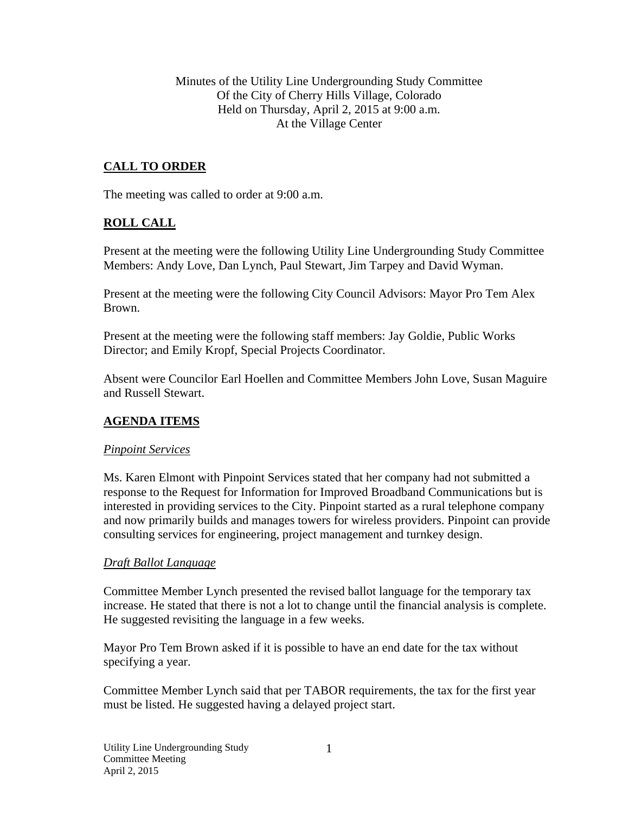Minutes of the Utility Line Undergrounding Study Committee Of the City of Cherry Hills Village, Colorado Held on Thursday, April 2, 2015 at 9:00 a.m. At the Village Center

# **CALL TO ORDER**

The meeting was called to order at 9:00 a.m.

### **ROLL CALL**

Present at the meeting were the following Utility Line Undergrounding Study Committee Members: Andy Love, Dan Lynch, Paul Stewart, Jim Tarpey and David Wyman.

Present at the meeting were the following City Council Advisors: Mayor Pro Tem Alex Brown.

Present at the meeting were the following staff members: Jay Goldie, Public Works Director; and Emily Kropf, Special Projects Coordinator.

Absent were Councilor Earl Hoellen and Committee Members John Love, Susan Maguire and Russell Stewart.

### **AGENDA ITEMS**

### *Pinpoint Services*

Ms. Karen Elmont with Pinpoint Services stated that her company had not submitted a response to the Request for Information for Improved Broadband Communications but is interested in providing services to the City. Pinpoint started as a rural telephone company and now primarily builds and manages towers for wireless providers. Pinpoint can provide consulting services for engineering, project management and turnkey design.

### *Draft Ballot Language*

Committee Member Lynch presented the revised ballot language for the temporary tax increase. He stated that there is not a lot to change until the financial analysis is complete. He suggested revisiting the language in a few weeks.

Mayor Pro Tem Brown asked if it is possible to have an end date for the tax without specifying a year.

Committee Member Lynch said that per TABOR requirements, the tax for the first year must be listed. He suggested having a delayed project start.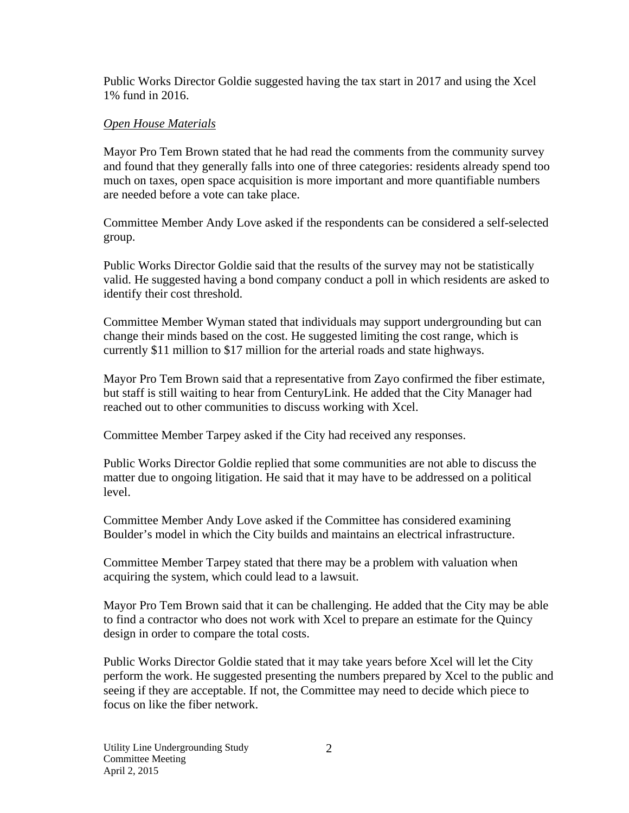Public Works Director Goldie suggested having the tax start in 2017 and using the Xcel 1% fund in 2016.

## *Open House Materials*

Mayor Pro Tem Brown stated that he had read the comments from the community survey and found that they generally falls into one of three categories: residents already spend too much on taxes, open space acquisition is more important and more quantifiable numbers are needed before a vote can take place.

Committee Member Andy Love asked if the respondents can be considered a self-selected group.

Public Works Director Goldie said that the results of the survey may not be statistically valid. He suggested having a bond company conduct a poll in which residents are asked to identify their cost threshold.

Committee Member Wyman stated that individuals may support undergrounding but can change their minds based on the cost. He suggested limiting the cost range, which is currently \$11 million to \$17 million for the arterial roads and state highways.

Mayor Pro Tem Brown said that a representative from Zayo confirmed the fiber estimate, but staff is still waiting to hear from CenturyLink. He added that the City Manager had reached out to other communities to discuss working with Xcel.

Committee Member Tarpey asked if the City had received any responses.

Public Works Director Goldie replied that some communities are not able to discuss the matter due to ongoing litigation. He said that it may have to be addressed on a political level.

Committee Member Andy Love asked if the Committee has considered examining Boulder's model in which the City builds and maintains an electrical infrastructure.

Committee Member Tarpey stated that there may be a problem with valuation when acquiring the system, which could lead to a lawsuit.

Mayor Pro Tem Brown said that it can be challenging. He added that the City may be able to find a contractor who does not work with Xcel to prepare an estimate for the Quincy design in order to compare the total costs.

Public Works Director Goldie stated that it may take years before Xcel will let the City perform the work. He suggested presenting the numbers prepared by Xcel to the public and seeing if they are acceptable. If not, the Committee may need to decide which piece to focus on like the fiber network.